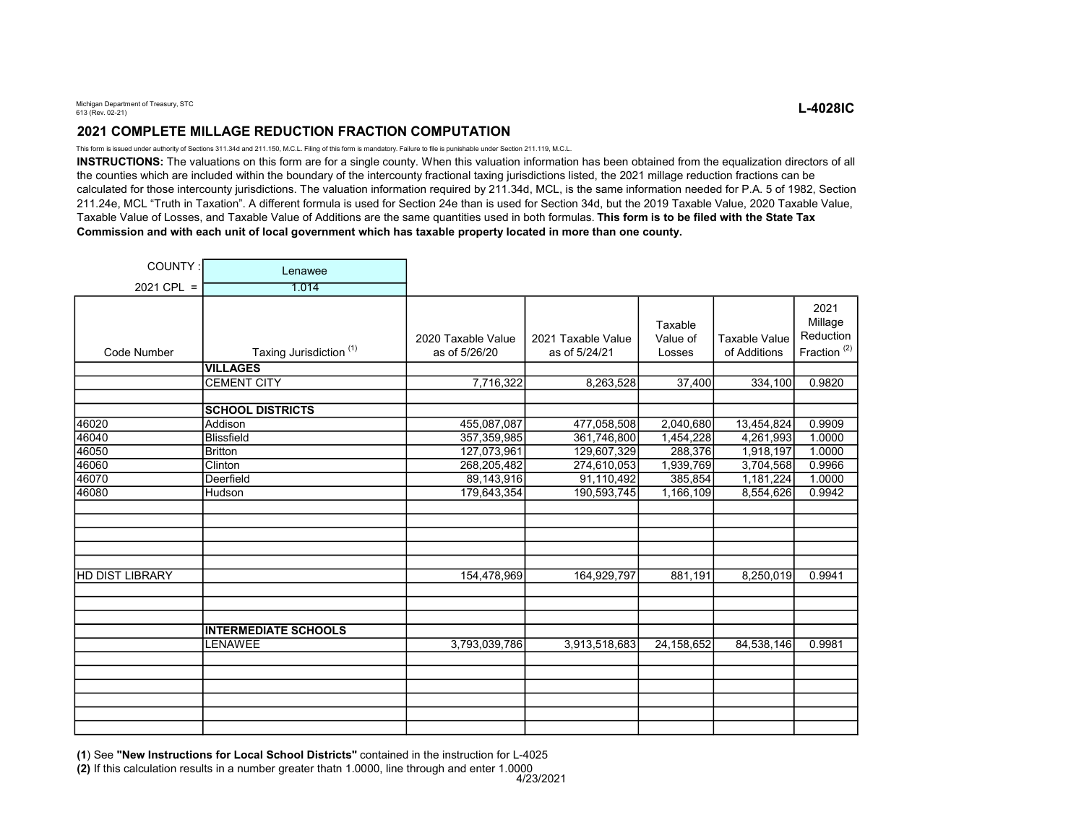## 2021 COMPLETE MILLAGE REDUCTION FRACTION COMPUTATION

This form is issued under authority of Sections 311.34d and 211.150, M.C.L. Filing of this form is mandatory. Failure to file is punishable under Section 211.119, M.C.L.

INSTRUCTIONS: The valuations on this form are for a single county. When this valuation information has been obtained from the equalization directors of all the counties which are included within the boundary of the intercounty fractional taxing jurisdictions listed, the 2021 millage reduction fractions can be calculated for those intercounty jurisdictions. The valuation information required by 211.34d, MCL, is the same information needed for P.A. 5 of 1982, Section 211.24e, MCL "Truth in Taxation". A different formula is used for Section 24e than is used for Section 34d, but the 2019 Taxable Value, 2020 Taxable Value, Taxable Value of Losses, and Taxable Value of Additions are the same quantities used in both formulas. This form is to be filed with the State Tax Commission and with each unit of local government which has taxable property located in more than one county.

| COUNTY:                | Lenawee                            |                                     |                                     |                               |                                      |                                                         |
|------------------------|------------------------------------|-------------------------------------|-------------------------------------|-------------------------------|--------------------------------------|---------------------------------------------------------|
| $2021$ CPL =           | 1.014                              |                                     |                                     |                               |                                      |                                                         |
| Code Number            | Taxing Jurisdiction <sup>(1)</sup> | 2020 Taxable Value<br>as of 5/26/20 | 2021 Taxable Value<br>as of 5/24/21 | Taxable<br>Value of<br>Losses | <b>Taxable Value</b><br>of Additions | 2021<br>Millage<br>Reduction<br>Fraction <sup>(2)</sup> |
|                        | <b>VILLAGES</b>                    |                                     |                                     |                               |                                      |                                                         |
|                        | <b>CEMENT CITY</b>                 | 7,716,322                           | 8,263,528                           | 37,400                        | 334,100                              | 0.9820                                                  |
|                        | <b>SCHOOL DISTRICTS</b>            |                                     |                                     |                               |                                      |                                                         |
| 46020                  | Addison                            | 455,087,087                         | 477,058,508                         | 2,040,680                     | 13,454,824                           | 0.9909                                                  |
| 46040                  | <b>Blissfield</b>                  | 357, 359, 985                       | 361,746,800                         | 1,454,228                     | 4,261,993                            | 1.0000                                                  |
| 46050                  | <b>Britton</b>                     | 127,073,961                         | 129,607,329                         | 288,376                       | 1,918,197                            | 1.0000                                                  |
| 46060                  | Clinton                            | 268,205,482                         | 274,610,053                         | 1,939,769                     | 3,704,568                            | 0.9966                                                  |
| 46070                  | Deerfield                          | 89,143,916                          | 91,110,492                          | 385,854                       | 1,181,224                            | 1.0000                                                  |
| 46080                  | Hudson                             | 179,643,354                         | 190,593,745                         | 1,166,109                     | 8,554,626                            | 0.9942                                                  |
|                        |                                    |                                     |                                     |                               |                                      |                                                         |
|                        |                                    |                                     |                                     |                               |                                      |                                                         |
|                        |                                    |                                     |                                     |                               |                                      |                                                         |
| <b>HD DIST LIBRARY</b> |                                    | 154,478,969                         | 164,929,797                         | 881,191                       | 8,250,019                            | 0.9941                                                  |
|                        |                                    |                                     |                                     |                               |                                      |                                                         |
|                        |                                    |                                     |                                     |                               |                                      |                                                         |
|                        | <b>INTERMEDIATE SCHOOLS</b>        |                                     |                                     |                               |                                      |                                                         |
|                        | <b>LENAWEE</b>                     | 3,793,039,786                       | 3,913,518,683                       | 24,158,652                    | 84,538,146                           | 0.9981                                                  |
|                        |                                    |                                     |                                     |                               |                                      |                                                         |
|                        |                                    |                                     |                                     |                               |                                      |                                                         |
|                        |                                    |                                     |                                     |                               |                                      |                                                         |
|                        |                                    |                                     |                                     |                               |                                      |                                                         |
|                        |                                    |                                     |                                     |                               |                                      |                                                         |
|                        |                                    |                                     |                                     |                               |                                      |                                                         |

(1) See "New Instructions for Local School Districts" contained in the instruction for L-4025

(2) If this calculation results in a number greater thatn 1.0000, line through and enter 1.0000